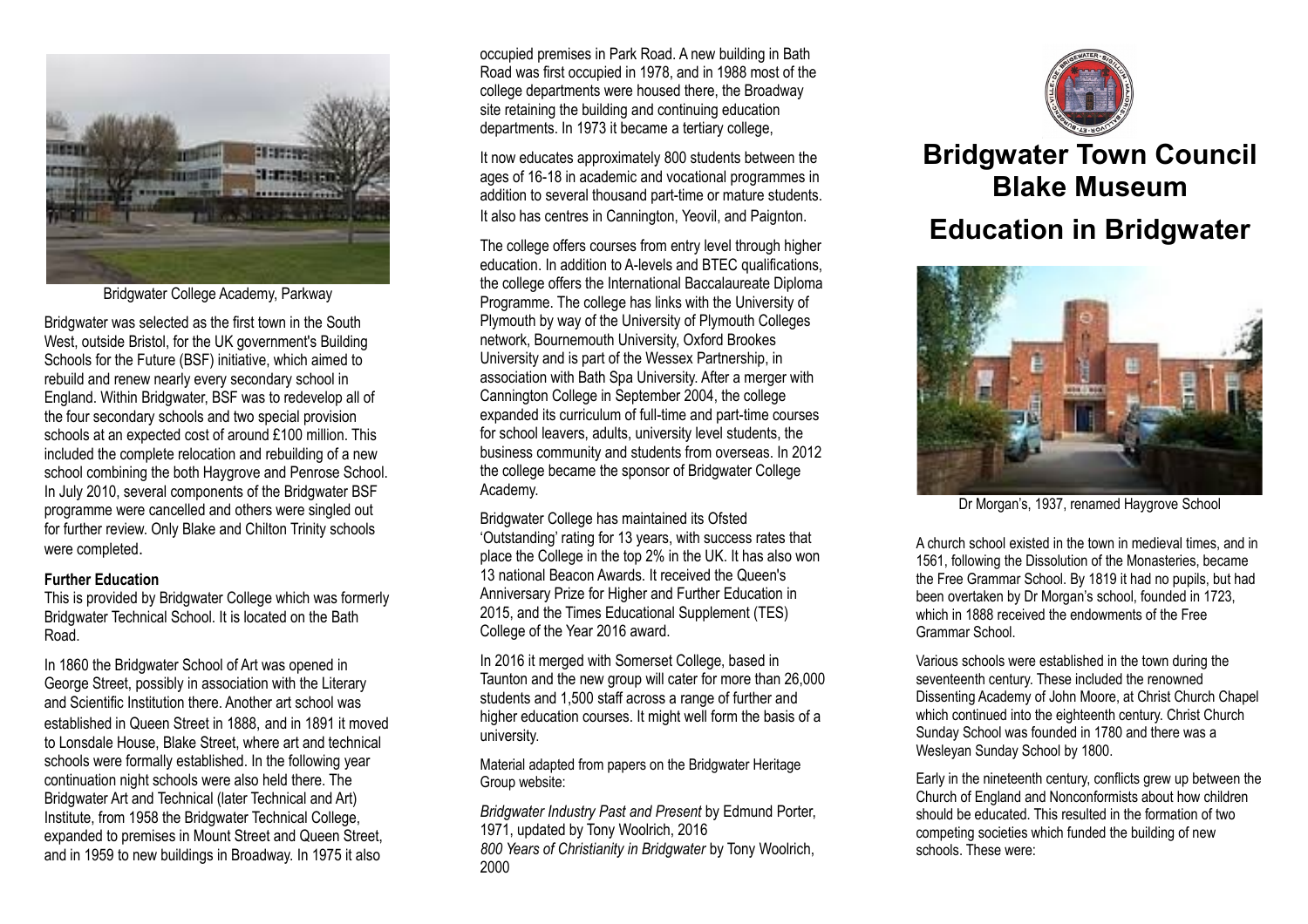

Bridgwater College Academy, Parkway

Bridgwater was selected as the first town in the South West, outside Bristol, for the UK government's Building Schools for the Future (BSF) initiative, which aimed to rebuild and renew nearly every secondary school in England. Within Bridgwater, BSF was to redevelop all of the four secondary schools and two special provision schools at an expected cost of around £100 million. This included the complete relocation and rebuilding of a new school combining the both Haygrove and Penrose School. In July 2010, several components of the Bridgwater BSF programme were cancelled and others were singled out for further review. Only Blake and Chilton Trinity schools were completed.

#### **Further Education**

This is provided by Bridgwater College which was formerly Bridgwater Technical School. It is located on the Bath Road.

In 1860 the Bridgwater School of Art was opened in George Street, possibly in association with the Literary and Scientific Institution there. Another art school was established in Queen Street in 1888, and in 1891 it moved to Lonsdale House, Blake Street, where art and technical schools were formally established. In the following year continuation night schools were also held there. The Bridgwater Art and Technical (later Technical and Art) Institute, from 1958 the Bridgwater Technical College, expanded to premises in Mount Street and Queen Street, and in 1959 to new buildings in Broadway. In 1975 it also

occupied premises in Park Road. A new building in Bath Road was first occupied in 1978, and in 1988 most of the college departments were housed there, the Broadway site retaining the building and continuing education departments. In 1973 it became a tertiary college,

It now educates approximately 800 students between the ages of 16-18 in academic and vocational programmes in addition to several thousand part-time or mature students. It also has centres in Cannington, Yeovil, and Paignton.

The college offers courses from entry level through higher education. In addition to A-levels and BTEC qualifications, the college offers the International Baccalaureate Diploma Programme. The college has links with the University of Plymouth by way of the University of Plymouth Colleges network, Bournemouth University, Oxford Brookes University and is part of the Wessex Partnership, in association with Bath Spa University. After a merger with Cannington College in September 2004, the college expanded its curriculum of full-time and part-time courses for school leavers, adults, university level students, the business community and students from overseas. In 2012 the college became the sponsor of Bridgwater College Academy.

Bridgwater College has maintained its Ofsted 'Outstanding' rating for 13 years, with success rates that place the College in the top 2% in the UK. It has also won 13 national Beacon Awards. It received the Queen's Anniversary Prize for Higher and Further Education in 2015, and the Times Educational Supplement (TES) College of the Year 2016 award.

In 2016 it merged with Somerset College, based in Taunton and the new group will cater for more than 26,000 students and 1,500 staff across a range of further and higher education courses. It might well form the basis of a university.

Material adapted from papers on the Bridgwater Heritage Group website:

*Bridgwater Industry Past and Present* by Edmund Porter, 1971, updated by Tony Woolrich, 2016 *800 Years of Christianity in Bridgwater* by Tony Woolrich, 2000



# **Bridgwater Town Council Blake Museum Education in Bridgwater**

Dr Morgan's, 1937, renamed Haygrove School

A church school existed in the town in medieval times, and in 1561, following the Dissolution of the Monasteries, became the Free Grammar School. By 1819 it had no pupils, but had been overtaken by Dr Morgan's school, founded in 1723, which in 1888 received the endowments of the Free Grammar School.

Various schools were established in the town during the seventeenth century. These included the renowned Dissenting Academy of John Moore, at Christ Church Chapel which continued into the eighteenth century. Christ Church Sunday School was founded in 1780 and there was a Wesleyan Sunday School by 1800.

Early in the nineteenth century, conflicts grew up between the Church of England and Nonconformists about how children should be educated. This resulted in the formation of two competing societies which funded the building of new schools. These were: